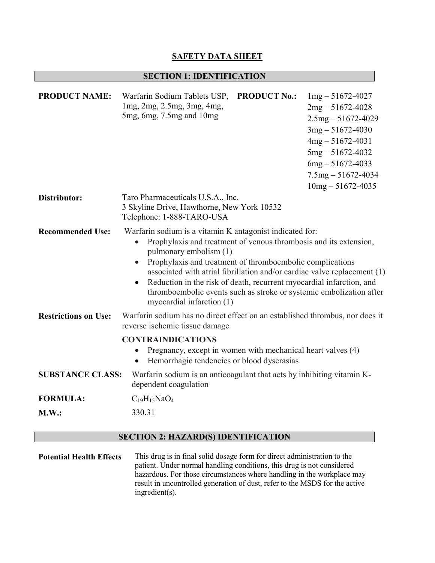## **SAFETY DATA SHEET**

# **SECTION 1: IDENTIFICATION**

| <b>PRODUCT NAME:</b>        | Warfarin Sodium Tablets USP,<br><b>PRODUCT No.:</b><br>$1mg - 51672 - 4027$<br>1mg, 2mg, 2.5mg, 3mg, 4mg,<br>$2mg - 51672 - 4028$<br>5mg, 6mg, 7.5mg and 10mg<br>$2.5mg - 51672 - 4029$<br>$3mg - 51672 - 4030$<br>$4mg - 51672 - 4031$<br>$5mg - 51672 - 4032$<br>$6mg - 51672 - 4033$<br>$7.5mg - 51672 - 4034$<br>$10mg - 51672 - 4035$                                                                                                                                                |  |
|-----------------------------|-------------------------------------------------------------------------------------------------------------------------------------------------------------------------------------------------------------------------------------------------------------------------------------------------------------------------------------------------------------------------------------------------------------------------------------------------------------------------------------------|--|
| Distributor:                | Taro Pharmaceuticals U.S.A., Inc.<br>3 Skyline Drive, Hawthorne, New York 10532<br>Telephone: 1-888-TARO-USA                                                                                                                                                                                                                                                                                                                                                                              |  |
| <b>Recommended Use:</b>     | Warfarin sodium is a vitamin K antagonist indicated for:<br>Prophylaxis and treatment of venous thrombosis and its extension,<br>$\bullet$<br>pulmonary embolism (1)<br>Prophylaxis and treatment of thromboembolic complications<br>associated with atrial fibrillation and/or cardiac valve replacement (1)<br>Reduction in the risk of death, recurrent myocardial infarction, and<br>thromboembolic events such as stroke or systemic embolization after<br>myocardial infarction (1) |  |
| <b>Restrictions on Use:</b> | Warfarin sodium has no direct effect on an established thrombus, nor does it<br>reverse ischemic tissue damage                                                                                                                                                                                                                                                                                                                                                                            |  |
|                             | <b>CONTRAINDICATIONS</b><br>Pregnancy, except in women with mechanical heart valves (4)<br>Hemorrhagic tendencies or blood dyscrasias                                                                                                                                                                                                                                                                                                                                                     |  |
| <b>SUBSTANCE CLASS:</b>     | Warfarin sodium is an anticoagulant that acts by inhibiting vitamin K-<br>dependent coagulation                                                                                                                                                                                                                                                                                                                                                                                           |  |
| <b>FORMULA:</b>             | $C_{19}H_{15}NaO_4$                                                                                                                                                                                                                                                                                                                                                                                                                                                                       |  |
| M.W.:                       | 330.31                                                                                                                                                                                                                                                                                                                                                                                                                                                                                    |  |

## **SECTION 2: HAZARD(S) IDENTIFICATION**

**Potential Health Effects** This drug is in final solid dosage form for direct administration to the patient. Under normal handling conditions, this drug is not considered hazardous. For those circumstances where handling in the workplace may result in uncontrolled generation of dust, refer to the MSDS for the active ingredient(s).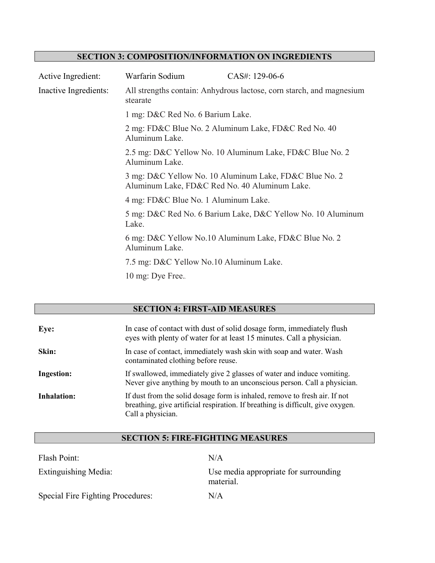## **SECTION 3: COMPOSITION/INFORMATION ON INGREDIENTS**

| Active Ingredient:    | Warfarin Sodium                               | CAS#: 129-06-6                                                       |
|-----------------------|-----------------------------------------------|----------------------------------------------------------------------|
| Inactive Ingredients: | stearate                                      | All strengths contain: Anhydrous lactose, corn starch, and magnesium |
|                       | 1 mg: D&C Red No. 6 Barium Lake.              |                                                                      |
|                       | Aluminum Lake.                                | 2 mg: FD&C Blue No. 2 Aluminum Lake, FD&C Red No. 40                 |
|                       | Aluminum Lake.                                | 2.5 mg: D&C Yellow No. 10 Aluminum Lake, FD&C Blue No. 2             |
|                       | Aluminum Lake, FD&C Red No. 40 Aluminum Lake. | 3 mg: D&C Yellow No. 10 Aluminum Lake, FD&C Blue No. 2               |
|                       | 4 mg: FD&C Blue No. 1 Aluminum Lake.          |                                                                      |
|                       | Lake.                                         | 5 mg: D&C Red No. 6 Barium Lake, D&C Yellow No. 10 Aluminum          |
|                       | Aluminum Lake.                                | 6 mg: D&C Yellow No.10 Aluminum Lake, FD&C Blue No. 2                |
|                       | 7.5 mg: D&C Yellow No.10 Aluminum Lake.       |                                                                      |
|                       | 10 mg: Dye Free                               |                                                                      |

# **SECTION 4: FIRST-AID MEASURES**

| Eye:               | In case of contact with dust of solid dosage form, immediately flush<br>eyes with plenty of water for at least 15 minutes. Call a physician.                                       |
|--------------------|------------------------------------------------------------------------------------------------------------------------------------------------------------------------------------|
| Skin:              | In case of contact, immediately wash skin with soap and water. Wash<br>contaminated clothing before reuse.                                                                         |
| <b>Ingestion:</b>  | If swallowed, immediately give 2 glasses of water and induce vomiting.<br>Never give anything by mouth to an unconscious person. Call a physician.                                 |
| <b>Inhalation:</b> | If dust from the solid dosage form is inhaled, remove to fresh air. If not<br>breathing, give artificial respiration. If breathing is difficult, give oxygen.<br>Call a physician. |

## **SECTION 5: FIRE-FIGHTING MEASURES**

| Flash Point:                      | N/A                                                |
|-----------------------------------|----------------------------------------------------|
| Extinguishing Media:              | Use media appropriate for surrounding<br>material. |
| Special Fire Fighting Procedures: | N/A                                                |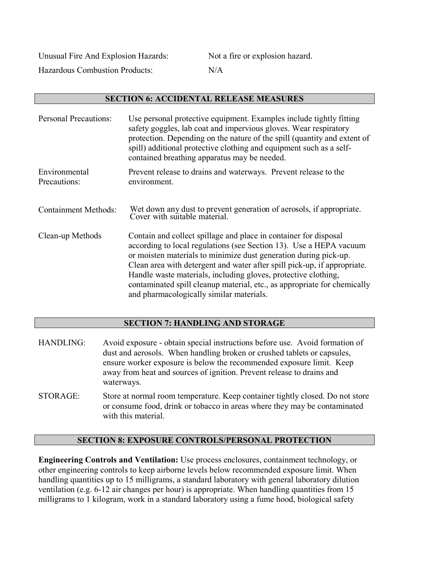Unusual Fire And Explosion Hazards: Not a fire or explosion hazard. Hazardous Combustion Products: N/A

## **SECTION 6: ACCIDENTAL RELEASE MEASURES**

| <b>Personal Precautions:</b>  | Use personal protective equipment. Examples include tightly fitting<br>safety goggles, lab coat and impervious gloves. Wear respiratory<br>protection. Depending on the nature of the spill (quantity and extent of<br>spill) additional protective clothing and equipment such as a self-<br>contained breathing apparatus may be needed.                                                                                                                                       |
|-------------------------------|----------------------------------------------------------------------------------------------------------------------------------------------------------------------------------------------------------------------------------------------------------------------------------------------------------------------------------------------------------------------------------------------------------------------------------------------------------------------------------|
| Environmental<br>Precautions: | Prevent release to drains and waterways. Prevent release to the<br>environment.                                                                                                                                                                                                                                                                                                                                                                                                  |
| <b>Containment Methods:</b>   | Wet down any dust to prevent generation of aerosols, if appropriate.<br>Cover with suitable material.                                                                                                                                                                                                                                                                                                                                                                            |
| Clean-up Methods              | Contain and collect spillage and place in container for disposal<br>according to local regulations (see Section 13). Use a HEPA vacuum<br>or moisten materials to minimize dust generation during pick-up.<br>Clean area with detergent and water after spill pick-up, if appropriate.<br>Handle waste materials, including gloves, protective clothing,<br>contaminated spill cleanup material, etc., as appropriate for chemically<br>and pharmacologically similar materials. |

## **SECTION 7: HANDLING AND STORAGE**

- HANDLING: Avoid exposure obtain special instructions before use. Avoid formation of dust and aerosols. When handling broken or crushed tablets or capsules, ensure worker exposure is below the recommended exposure limit. Keep away from heat and sources of ignition. Prevent release to drains and waterways.
- STORAGE: Store at normal room temperature. Keep container tightly closed. Do not store or consume food, drink or tobacco in areas where they may be contaminated with this material

## **SECTION 8: EXPOSURE CONTROLS/PERSONAL PROTECTION**

**Engineering Controls and Ventilation:** Use process enclosures, containment technology, or other engineering controls to keep airborne levels below recommended exposure limit. When handling quantities up to 15 milligrams, a standard laboratory with general laboratory dilution ventilation (e.g. 6-12 air changes per hour) is appropriate. When handling quantities from 15 milligrams to 1 kilogram, work in a standard laboratory using a fume hood, biological safety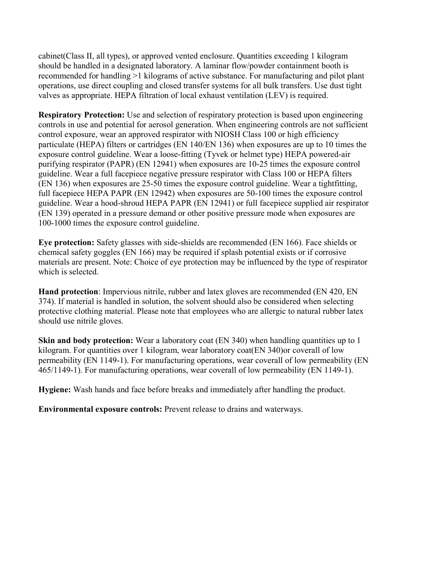cabinet(Class II, all types), or approved vented enclosure. Quantities exceeding 1 kilogram should be handled in a designated laboratory. A laminar flow/powder containment booth is recommended for handling >1 kilograms of active substance. For manufacturing and pilot plant operations, use direct coupling and closed transfer systems for all bulk transfers. Use dust tight valves as appropriate. HEPA filtration of local exhaust ventilation (LEV) is required.

**Respiratory Protection:** Use and selection of respiratory protection is based upon engineering controls in use and potential for aerosol generation. When engineering controls are not sufficient control exposure, wear an approved respirator with NIOSH Class 100 or high efficiency particulate (HEPA) filters or cartridges (EN 140/EN 136) when exposures are up to 10 times the exposure control guideline. Wear a loose-fitting (Tyvek or helmet type) HEPA powered-air purifying respirator (PAPR) (EN 12941) when exposures are 10-25 times the exposure control guideline. Wear a full facepiece negative pressure respirator with Class 100 or HEPA filters (EN 136) when exposures are 25-50 times the exposure control guideline. Wear a tightfitting, full facepiece HEPA PAPR (EN 12942) when exposures are 50-100 times the exposure control guideline. Wear a hood-shroud HEPA PAPR (EN 12941) or full facepiece supplied air respirator (EN 139) operated in a pressure demand or other positive pressure mode when exposures are 100-1000 times the exposure control guideline.

**Eye protection:** Safety glasses with side-shields are recommended (EN 166). Face shields or chemical safety goggles (EN 166) may be required if splash potential exists or if corrosive materials are present. Note: Choice of eye protection may be influenced by the type of respirator which is selected.

**Hand protection**: Impervious nitrile, rubber and latex gloves are recommended (EN 420, EN 374). If material is handled in solution, the solvent should also be considered when selecting protective clothing material. Please note that employees who are allergic to natural rubber latex should use nitrile gloves.

**Skin and body protection:** Wear a laboratory coat (EN 340) when handling quantities up to 1 kilogram. For quantities over 1 kilogram, wear laboratory coat(EN 340)or coverall of low permeability (EN 1149-1). For manufacturing operations, wear coverall of low permeability (EN 465/1149-1). For manufacturing operations, wear coverall of low permeability (EN 1149-1).

**Hygiene:** Wash hands and face before breaks and immediately after handling the product.

**Environmental exposure controls:** Prevent release to drains and waterways.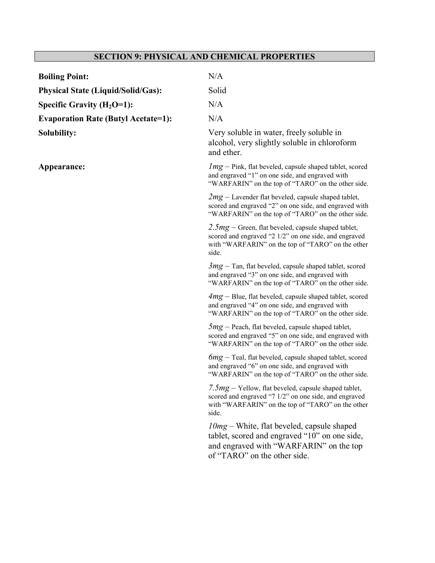# **SECTION 9: PHYSICAL AND CHEMICAL PROPERTIES**

| <b>Boiling Point:</b>                      | N/A                                                                                                                                                                            |
|--------------------------------------------|--------------------------------------------------------------------------------------------------------------------------------------------------------------------------------|
| <b>Physical State (Liquid/Solid/Gas):</b>  | Solid                                                                                                                                                                          |
| Specific Gravity $(H_2O=1)$ :              | N/A                                                                                                                                                                            |
| <b>Evaporation Rate (Butyl Acetate=1):</b> | N/A                                                                                                                                                                            |
| Solubility:                                | Very soluble in water, freely soluble in<br>alcohol, very slightly soluble in chloroform<br>and ether.                                                                         |
| Appearance:                                | $Img$ – Pink, flat beveled, capsule shaped tablet, scored<br>and engraved "1" on one side, and engraved with<br>"WARFARIN" on the top of "TARO" on the other side.             |
|                                            | $2mg$ – Lavender flat beveled, capsule shaped tablet,<br>scored and engraved "2" on one side, and engraved with<br>"WARFARIN" on the top of "TARO" on the other side.          |
|                                            | $2.5mg$ – Green, flat beveled, capsule shaped tablet,<br>scored and engraved "2 1/2" on one side, and engraved<br>with "WARFARIN" on the top of "TARO" on the other<br>side.   |
|                                            | $3mg$ – Tan, flat beveled, capsule shaped tablet, scored<br>and engraved "3" on one side, and engraved with<br>"WARFARIN" on the top of "TARO" on the other side.              |
|                                            | $4mg - Blue$ , flat beveled, capsule shaped tablet, scored<br>and engraved "4" on one side, and engraved with<br>"WARFARIN" on the top of "TARO" on the other side.            |
|                                            | $5mg$ – Peach, flat beveled, capsule shaped tablet,<br>scored and engraved "5" on one side, and engraved with<br>"WARFARIN" on the top of "TARO" on the other side.            |
|                                            | $6mg$ – Teal, flat beveled, capsule shaped tablet, scored<br>and engraved "6" on one side, and engraved with<br>"WARFARIN" on the top of "TARO" on the other side.             |
|                                            | 7.5 $mg$ – Yellow, flat beveled, capsule shaped tablet,<br>scored and engraved "7 1/2" on one side, and engraved<br>with "WARFARIN" on the top of "TARO" on the other<br>side. |
|                                            | $10mg$ – White, flat beveled, capsule shaped<br>tablet, scored and engraved "10" on one side,<br>and engraved with "WARFARIN" on the top<br>of "TARO" on the other side.       |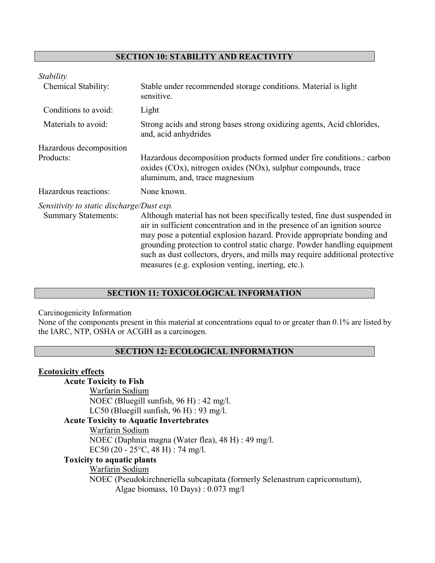## **SECTION 10: STABILITY AND REACTIVITY**

| Stable under recommended storage conditions. Material is light<br>sensitive.                                                                                                                                                                                                                                                                                                                                                                        |
|-----------------------------------------------------------------------------------------------------------------------------------------------------------------------------------------------------------------------------------------------------------------------------------------------------------------------------------------------------------------------------------------------------------------------------------------------------|
| Light                                                                                                                                                                                                                                                                                                                                                                                                                                               |
| Strong acids and strong bases strong oxidizing agents, Acid chlorides,<br>and, acid anhydrides                                                                                                                                                                                                                                                                                                                                                      |
|                                                                                                                                                                                                                                                                                                                                                                                                                                                     |
| Hazardous decomposition products formed under fire conditions.: carbon<br>oxides $(COx)$ , nitrogen oxides $(NOx)$ , sulphur compounds, trace<br>aluminum, and, trace magnesium                                                                                                                                                                                                                                                                     |
| None known.                                                                                                                                                                                                                                                                                                                                                                                                                                         |
| Sensitivity to static discharge/Dust exp.                                                                                                                                                                                                                                                                                                                                                                                                           |
| Although material has not been specifically tested, fine dust suspended in<br>air in sufficient concentration and in the presence of an ignition source<br>may pose a potential explosion hazard. Provide appropriate bonding and<br>grounding protection to control static charge. Powder handling equipment<br>such as dust collectors, dryers, and mills may require additional protective<br>measures (e.g. explosion venting, inerting, etc.). |
|                                                                                                                                                                                                                                                                                                                                                                                                                                                     |

## **SECTION 11: TOXICOLOGICAL INFORMATION**

Carcinogenicity Information

None of the components present in this material at concentrations equal to or greater than 0.1% are listed by the IARC, NTP, OSHA or ACGIH as a carcinogen.

#### **SECTION 12: ECOLOGICAL INFORMATION**

#### **Ecotoxicity effects**

## **Acute Toxicity to Fish**

Warfarin Sodium NOEC (Bluegill sunfish, 96 H) : 42 mg/l. LC50 (Bluegill sunfish, 96 H) : 93 mg/l.

## **Acute Toxicity to Aquatic Invertebrates**

Warfarin Sodium NOEC (Daphnia magna (Water flea), 48 H) : 49 mg/l. EC50 (20 - 25°C, 48 H) : 74 mg/l.

## **Toxicity to aquatic plants**

## Warfarin Sodium

NOEC (Pseudokirchneriella subcapitata (formerly Selenastrum capricornutum), Algae biomass, 10 Days) : 0.073 mg/l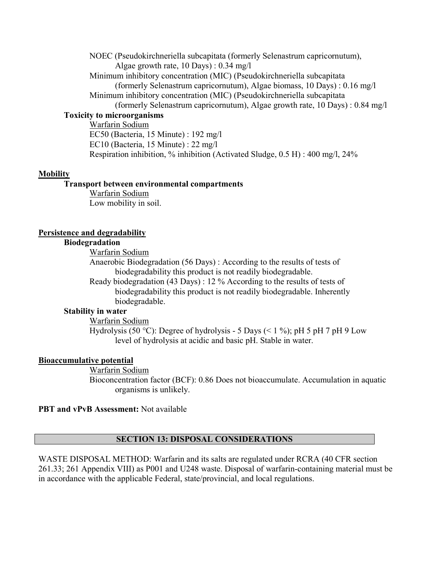NOEC (Pseudokirchneriella subcapitata (formerly Selenastrum capricornutum), Algae growth rate, 10 Days) : 0.34 mg/l Minimum inhibitory concentration (MIC) (Pseudokirchneriella subcapitata (formerly Selenastrum capricornutum), Algae biomass, 10 Days) : 0.16 mg/l Minimum inhibitory concentration (MIC) (Pseudokirchneriella subcapitata

(formerly Selenastrum capricornutum), Algae growth rate, 10 Days) : 0.84 mg/l

#### **Toxicity to microorganisms**

Warfarin Sodium EC50 (Bacteria, 15 Minute) : 192 mg/l EC10 (Bacteria, 15 Minute) : 22 mg/l Respiration inhibition, % inhibition (Activated Sludge, 0.5 H) : 400 mg/l, 24%

#### **Mobility**

#### **Transport between environmental compartments**

Warfarin Sodium Low mobility in soil.

#### **Persistence and degradability**

## **Biodegradation**

Warfarin Sodium

Anaerobic Biodegradation (56 Days) : According to the results of tests of biodegradability this product is not readily biodegradable.

Ready biodegradation (43 Days) : 12 % According to the results of tests of biodegradability this product is not readily biodegradable. Inherently biodegradable.

#### **Stability in water**

Warfarin Sodium

Hydrolysis (50 °C): Degree of hydrolysis - 5 Days (< 1 %); pH 5 pH 7 pH 9 Low level of hydrolysis at acidic and basic pH. Stable in water.

## **Bioaccumulative potential**

Warfarin Sodium

Bioconcentration factor (BCF): 0.86 Does not bioaccumulate. Accumulation in aquatic organisms is unlikely.

## **PBT and vPvB Assessment:** Not available

## **SECTION 13: DISPOSAL CONSIDERATIONS**

WASTE DISPOSAL METHOD: Warfarin and its salts are regulated under RCRA (40 CFR section 261.33; 261 Appendix VIII) as P001 and U248 waste. Disposal of warfarin-containing material must be in accordance with the applicable Federal, state/provincial, and local regulations.